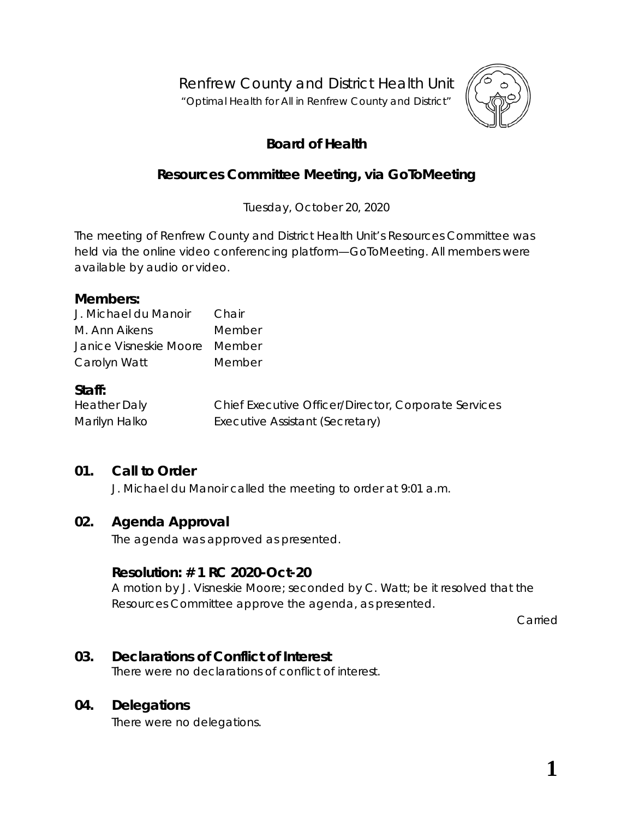Renfrew County and District Health Unit

"*Optimal Health for All in Renfrew County and District"*



# **Board of Health**

# **Resources Committee Meeting, via** *GoToMeeting*

Tuesday, October 20, 2020

The meeting of Renfrew County and District Health Unit's Resources Committee was held via the online video conferencing platform—*GoToMeeting*. All members were available by audio or video.

#### **Members:**

| J. Michael du Manoir          | Chair  |
|-------------------------------|--------|
| M. Ann Aikens                 | Member |
| Janice Visneskie Moore Member |        |
| Carolyn Watt                  | Member |

## **Staff:**

| <b>Heather Daly</b> | Chief Executive Officer/Director, Corporate Services |
|---------------------|------------------------------------------------------|
| Marilyn Halko       | Executive Assistant (Secretary)                      |

## **01. Call to Order**

J. Michael du Manoir called the meeting to order at 9:01 a.m.

## **02. Agenda Approval**

The agenda was approved as presented.

### **Resolution: # 1 RC 2020-Oct-20**

A motion by J. Visneskie Moore; seconded by C. Watt; be it resolved that the Resources Committee approve the agenda, as presented.

Carried

## **03. Declarations of Conflict of Interest**

There were no declarations of conflict of interest.

## **04. Delegations**

There were no delegations.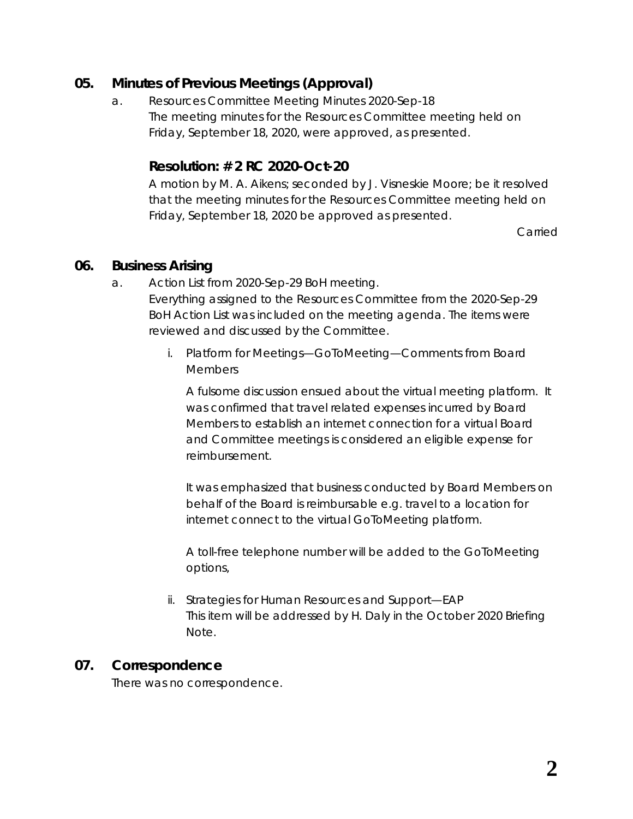## **05. Minutes of Previous Meetings (Approval)**

a. Resources Committee Meeting Minutes 2020-Sep-18 The meeting minutes for the Resources Committee meeting held on Friday, September 18, 2020, were approved, as presented.

## **Resolution: # 2 RC 2020-Oct-20**

A motion by M. A. Aikens; seconded by J. Visneskie Moore; be it resolved that the meeting minutes for the Resources Committee meeting held on Friday, September 18, 2020 be approved as presented.

Carried

### **06. Business Arising**

- a. Action List from 2020-Sep-29 BoH meeting. Everything assigned to the Resources Committee from the 2020-Sep-29 BoH Action List was included on the meeting agenda. The items were reviewed and discussed by the Committee.
	- i. Platform for Meetings—GoToMeeting—Comments from Board Members

A fulsome discussion ensued about the virtual meeting platform. It was confirmed that travel related expenses incurred by Board Members to establish an internet connection for a virtual Board and Committee meetings is considered an eligible expense for reimbursement.

It was emphasized that business conducted by Board Members on behalf of the Board is reimbursable e.g. travel to a location for internet connect to the virtual *GoToMeeting* platform.

A toll-free telephone number will be added to the *GoToMeeting* options,

ii. Strategies for Human Resources and Support—EAP This item will be addressed by H. Daly in the October 2020 Briefing Note.

## **07. Correspondence**

There was no correspondence.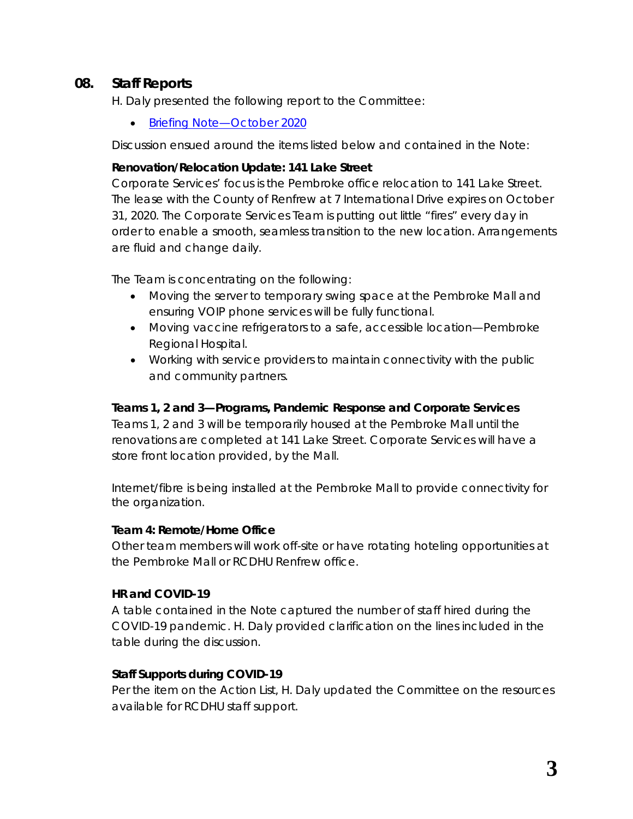## **08. Staff Reports**

H. Daly presented the following report to the Committee:

• [Briefing Note—October 2020](https://www.rcdhu.com/wp-content/uploads/2020/12/08.-Briefing-Note-October-2020-1.pdf)

Discussion ensued around the items listed below and contained in the *Note*:

#### **Renovation/Relocation Update: 141 Lake Street**

Corporate Services' focus is the Pembroke office relocation to 141 Lake Street. The lease with the County of Renfrew at 7 International Drive expires on October 31, 2020. The Corporate Services Team is putting out little "*fires*" every day in order to enable a smooth, seamless transition to the new location. Arrangements are fluid and change daily.

The Team is concentrating on the following:

- Moving the server to temporary swing space at the Pembroke Mall and ensuring VOIP phone services will be fully functional.
- Moving vaccine refrigerators to a safe, accessible location—Pembroke Regional Hospital.
- Working with service providers to maintain connectivity with the public and community partners.

#### **Teams 1, 2 and 3—Programs, Pandemic Response and Corporate Services**

Teams 1, 2 and 3 will be temporarily housed at the Pembroke Mall until the renovations are completed at 141 Lake Street. Corporate Services will have a store front location provided, by the Mall.

Internet/fibre is being installed at the Pembroke Mall to provide connectivity for the organization.

#### **Team 4: Remote/Home Office**

Other team members will work off-site or have rotating hoteling opportunities at the Pembroke Mall or RCDHU Renfrew office.

### **HR and COVID-19**

A table contained in the *Note* captured the number of staff hired during the COVID-19 pandemic. H. Daly provided clarification on the lines included in the table during the discussion.

### **Staff Supports during COVID-19**

Per the item on the Action List, H. Daly updated the Committee on the resources available for RCDHU staff support.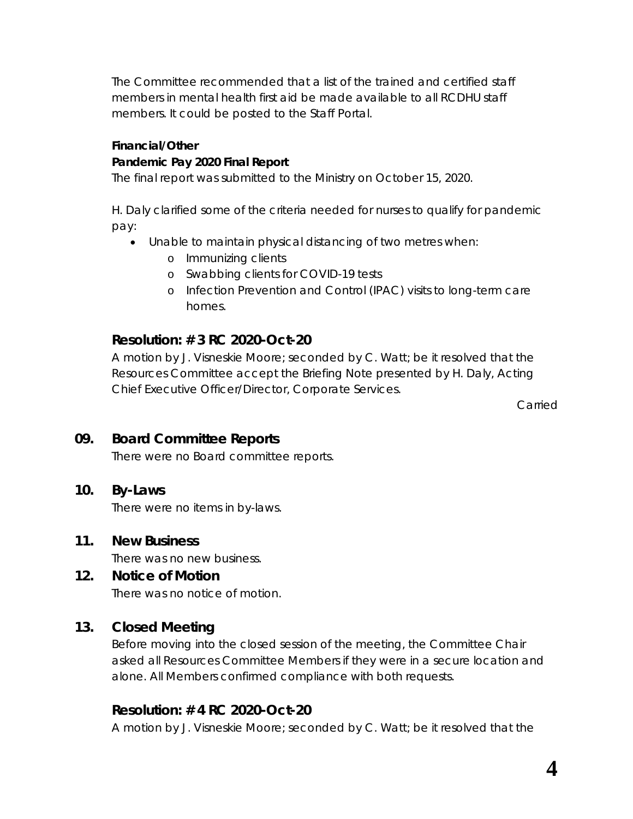The Committee recommended that a list of the trained and certified staff members in mental health first aid be made available to all RCDHU staff members. It could be posted to the Staff Portal.

#### **Financial/Other**

### **Pandemic Pay 2020 Final Report**

The final report was submitted to the Ministry on October 15, 2020.

H. Daly clarified some of the criteria needed for nurses to qualify for pandemic pay:

- Unable to maintain physical distancing of two metres when:
	- o Immunizing clients
	- o Swabbing clients for COVID-19 tests
	- o Infection Prevention and Control (IPAC) visits to long-term care homes.

# **Resolution: # 3 RC 2020-Oct-20**

A motion by J. Visneskie Moore; seconded by C. Watt; be it resolved that the Resources Committee accept the Briefing Note presented by H. Daly, Acting Chief Executive Officer/Director, Corporate Services.

Carried

# **09. Board Committee Reports**

There were no Board committee reports.

## **10. By-Laws**

There were no items in by-laws.

## **11. New Business**

There was no new business.

### **12. Notice of Motion**

There was no notice of motion.

## **13. Closed Meeting**

Before moving into the closed session of the meeting, the Committee Chair asked all Resources Committee Members if they were in a secure location and alone. All Members confirmed compliance with both requests.

## **Resolution: # 4 RC 2020-Oct-20**

A motion by J. Visneskie Moore; seconded by C. Watt; be it resolved that the